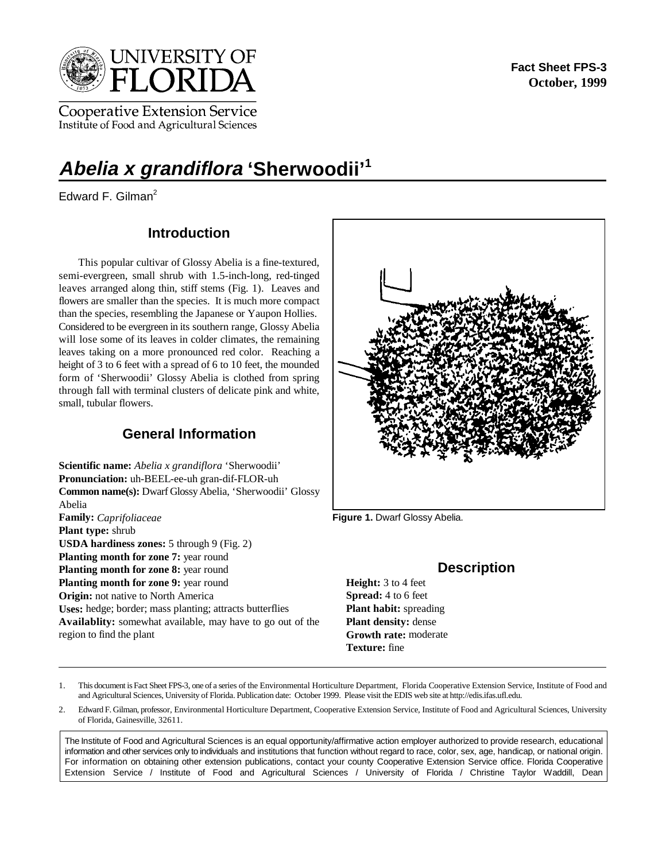

Cooperative Extension Service Institute of Food and Agricultural Sciences

# **Abelia x grandiflora 'Sherwoodii'1**

Edward F. Gilman<sup>2</sup>

# **Introduction**

This popular cultivar of Glossy Abelia is a fine-textured, semi-evergreen, small shrub with 1.5-inch-long, red-tinged leaves arranged along thin, stiff stems (Fig. 1). Leaves and flowers are smaller than the species. It is much more compact than the species, resembling the Japanese or Yaupon Hollies. Considered to be evergreen in its southern range, Glossy Abelia will lose some of its leaves in colder climates, the remaining leaves taking on a more pronounced red color. Reaching a height of 3 to 6 feet with a spread of 6 to 10 feet, the mounded form of 'Sherwoodii' Glossy Abelia is clothed from spring through fall with terminal clusters of delicate pink and white, small, tubular flowers.

## **General Information**

**Scientific name:** *Abelia x grandiflora* 'Sherwoodii' **Pronunciation:** uh-BEEL-ee-uh gran-dif-FLOR-uh **Common name(s):** Dwarf Glossy Abelia, 'Sherwoodii' Glossy Abelia **Family:** *Caprifoliaceae* **Plant type:** shrub **USDA hardiness zones:** 5 through 9 (Fig. 2) Planting month for zone 7: year round **Planting month for zone 8:** year round **Planting month for zone 9:** year round **Origin:** not native to North America **Uses:** hedge; border; mass planting; attracts butterflies **Availablity:** somewhat available, may have to go out of the region to find the plant **Growth rate:** moderate

**Figure 1.** Dwarf Glossy Abelia.

## **Description**

**Height:** 3 to 4 feet **Spread:** 4 to 6 feet **Plant habit:** spreading **Plant density:** dense **Texture:** fine

1. This document is Fact Sheet FPS-3, one of a series of the Environmental Horticulture Department, Florida Cooperative Extension Service, Institute of Food and and Agricultural Sciences, University of Florida. Publication date: October 1999. Please visit the EDIS web site at http://edis.ifas.ufl.edu.

2. Edward F. Gilman, professor, Environmental Horticulture Department, Cooperative Extension Service, Institute of Food and Agricultural Sciences, University of Florida, Gainesville, 32611.

The Institute of Food and Agricultural Sciences is an equal opportunity/affirmative action employer authorized to provide research, educational information and other services only to individuals and institutions that function without regard to race, color, sex, age, handicap, or national origin. For information on obtaining other extension publications, contact your county Cooperative Extension Service office. Florida Cooperative Extension Service / Institute of Food and Agricultural Sciences / University of Florida / Christine Taylor Waddill, Dean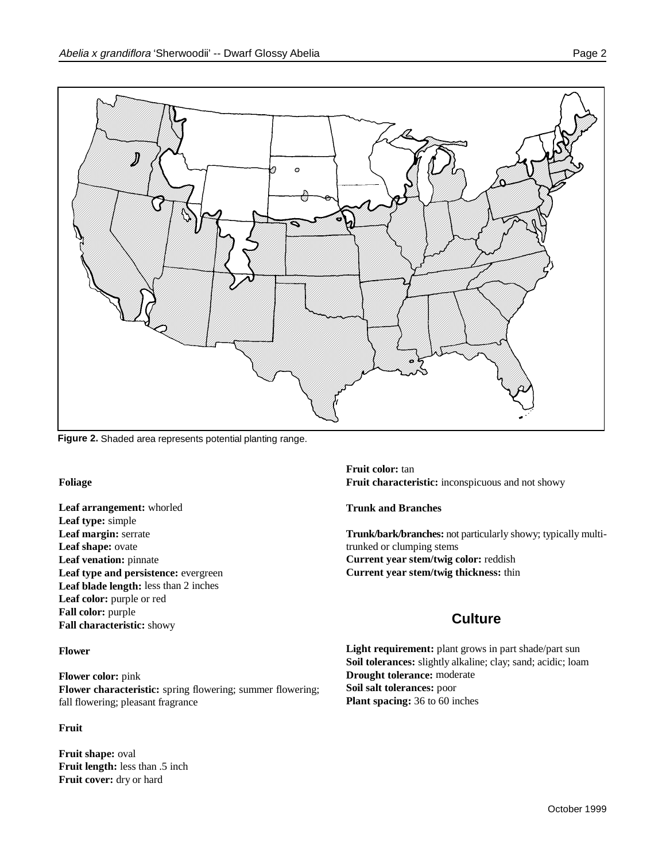

**Figure 2.** Shaded area represents potential planting range.

**Foliage** 

**Leaf arrangement:** whorled **Leaf type:** simple **Leaf shape:** ovate **Leaf venation:** pinnate **Leaf type and persistence:** evergreen **Leaf blade length:** less than 2 inches Leaf color: purple or red **Fall color:** purple **Fall characteristic:** showy

#### **Flower**

**Flower color:** pink **Flower characteristic:** spring flowering; summer flowering; fall flowering; pleasant fragrance

#### **Fruit**

**Fruit shape:** oval **Fruit length:** less than .5 inch **Fruit cover:** dry or hard

**Fruit color:** tan **Fruit characteristic:** inconspicuous and not showy

**Trunk and Branches**

**Leaf margin:** serrate **Trunk/bark/branches:** not particularly showy; typically multitrunked or clumping stems **Current year stem/twig color:** reddish **Current year stem/twig thickness:** thin

# **Culture**

Light requirement: plant grows in part shade/part sun **Soil tolerances:** slightly alkaline; clay; sand; acidic; loam **Drought tolerance:** moderate **Soil salt tolerances:** poor **Plant spacing:** 36 to 60 inches